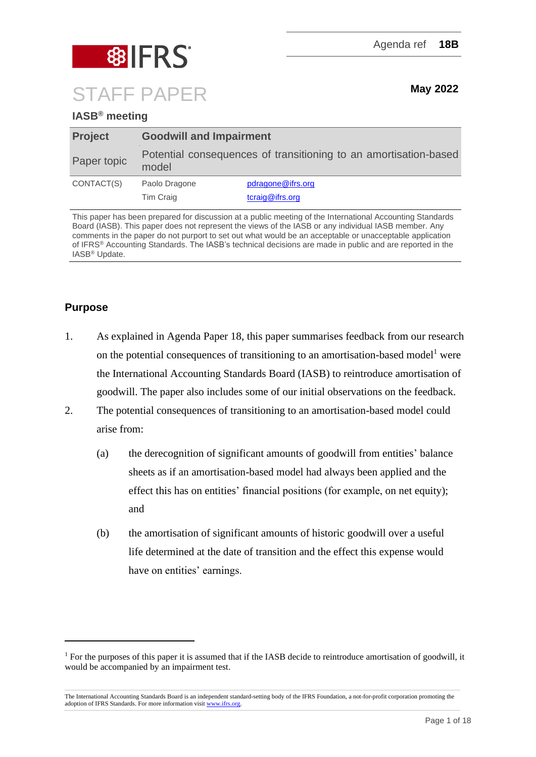

# **IASB® meeting**

| <b>Project</b> | <b>Goodwill and Impairment</b>                                            |                                      |  |  |
|----------------|---------------------------------------------------------------------------|--------------------------------------|--|--|
| Paper topic    | Potential consequences of transitioning to an amortisation-based<br>model |                                      |  |  |
| CONTACT(S)     | Paolo Dragone<br>Tim Craig                                                | pdragone@ifrs.org<br>tcraig@ifrs.org |  |  |

This paper has been prepared for discussion at a public meeting of the International Accounting Standards Board (IASB). This paper does not represent the views of the IASB or any individual IASB member. Any comments in the paper do not purport to set out what would be an acceptable or unacceptable application of IFRS® Accounting Standards. The IASB's technical decisions are made in public and are reported in the IASB® Update.

# **Purpose**

- 1. As explained in Agenda Paper 18, this paper summarises feedback from our research on the potential consequences of transitioning to an amortisation-based model<sup>1</sup> were the International Accounting Standards Board (IASB) to reintroduce amortisation of goodwill. The paper also includes some of our initial observations on the feedback.
- 2. The potential consequences of transitioning to an amortisation-based model could arise from:
	- (a) the derecognition of significant amounts of goodwill from entities' balance sheets as if an amortisation-based model had always been applied and the effect this has on entities' financial positions (for example, on net equity); and
	- (b) the amortisation of significant amounts of historic goodwill over a useful life determined at the date of transition and the effect this expense would have on entities' earnings.

<sup>&</sup>lt;sup>1</sup> For the purposes of this paper it is assumed that if the IASB decide to reintroduce amortisation of goodwill, it would be accompanied by an impairment test.

The International Accounting Standards Board is an independent standard-setting body of the IFRS Foundation, a not-for-profit corporation promoting the adoption of IFRS Standards. For more information visit [www.ifrs.org.](http://www.ifrs.org/)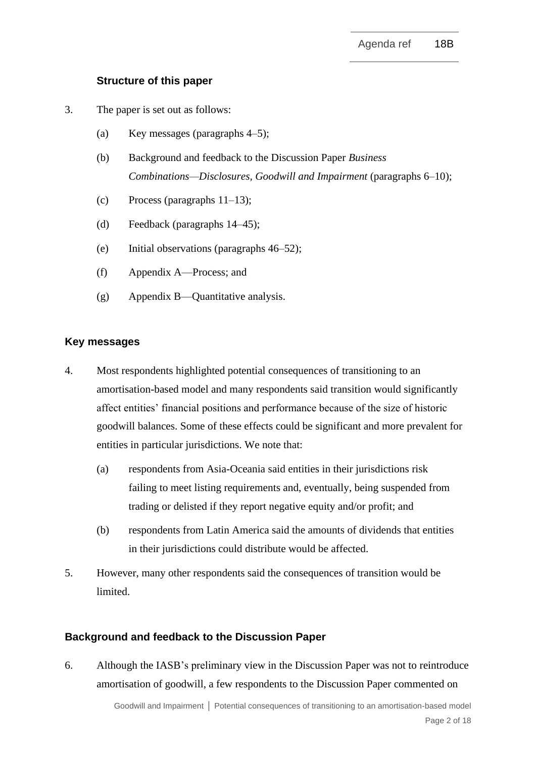## **Structure of this paper**

- 3. The paper is set out as follows:
	- (a) Key messages (paragraphs 4–5);
	- (b) Background and feedback to the Discussion Paper *Business Combinations—Disclosures, Goodwill and Impairment* (paragraphs 6–10);
	- (c) Process (paragraphs 11–13);
	- (d) Feedback (paragraphs 14–45);
	- (e) Initial observations (paragraphs 46–52);
	- (f) Appendix A—Process; and
	- (g) Appendix B—Quantitative analysis.

## **Key messages**

- 4. Most respondents highlighted potential consequences of transitioning to an amortisation-based model and many respondents said transition would significantly affect entities' financial positions and performance because of the size of historic goodwill balances. Some of these effects could be significant and more prevalent for entities in particular jurisdictions. We note that:
	- (a) respondents from Asia-Oceania said entities in their jurisdictions risk failing to meet listing requirements and, eventually, being suspended from trading or delisted if they report negative equity and/or profit; and
	- (b) respondents from Latin America said the amounts of dividends that entities in their jurisdictions could distribute would be affected.
- 5. However, many other respondents said the consequences of transition would be limited.

## **Background and feedback to the Discussion Paper**

6. Although the IASB's preliminary view in the Discussion Paper was not to reintroduce amortisation of goodwill, a few respondents to the Discussion Paper commented on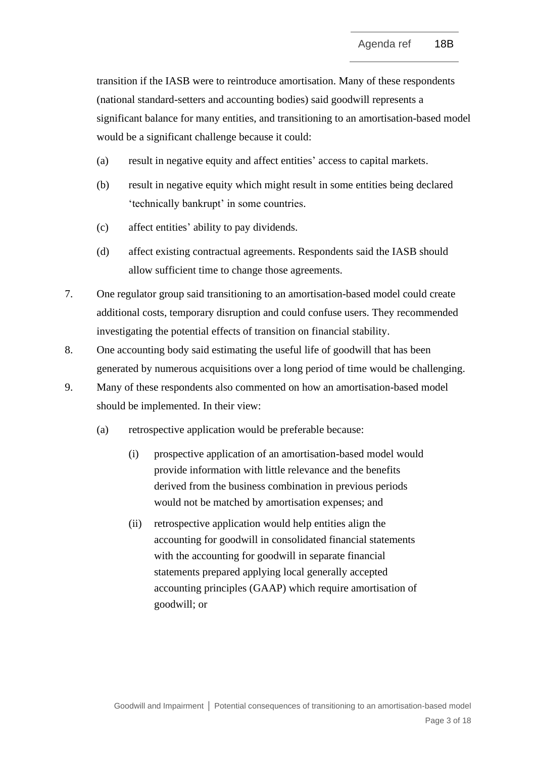transition if the IASB were to reintroduce amortisation. Many of these respondents (national standard-setters and accounting bodies) said goodwill represents a significant balance for many entities, and transitioning to an amortisation-based model would be a significant challenge because it could:

- (a) result in negative equity and affect entities' access to capital markets.
- (b) result in negative equity which might result in some entities being declared 'technically bankrupt' in some countries.
- (c) affect entities' ability to pay dividends.
- (d) affect existing contractual agreements. Respondents said the IASB should allow sufficient time to change those agreements.
- 7. One regulator group said transitioning to an amortisation-based model could create additional costs, temporary disruption and could confuse users. They recommended investigating the potential effects of transition on financial stability.
- 8. One accounting body said estimating the useful life of goodwill that has been generated by numerous acquisitions over a long period of time would be challenging.
- 9. Many of these respondents also commented on how an amortisation-based model should be implemented. In their view:
	- (a) retrospective application would be preferable because:
		- (i) prospective application of an amortisation-based model would provide information with little relevance and the benefits derived from the business combination in previous periods would not be matched by amortisation expenses; and
		- (ii) retrospective application would help entities align the accounting for goodwill in consolidated financial statements with the accounting for goodwill in separate financial statements prepared applying local generally accepted accounting principles (GAAP) which require amortisation of goodwill; or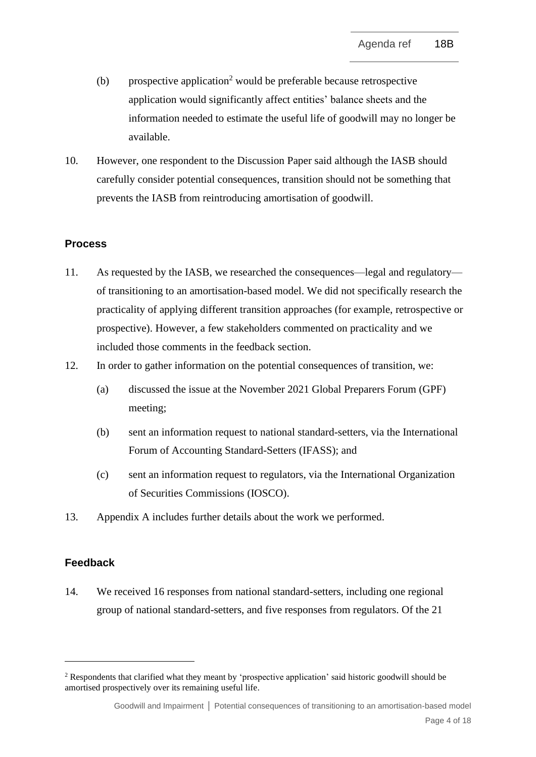- (b) prospective application<sup>2</sup> would be preferable because retrospective application would significantly affect entities' balance sheets and the information needed to estimate the useful life of goodwill may no longer be available.
- 10. However, one respondent to the Discussion Paper said although the IASB should carefully consider potential consequences, transition should not be something that prevents the IASB from reintroducing amortisation of goodwill.

## **Process**

- 11. As requested by the IASB, we researched the consequences—legal and regulatory of transitioning to an amortisation-based model. We did not specifically research the practicality of applying different transition approaches (for example, retrospective or prospective). However, a few stakeholders commented on practicality and we included those comments in the feedback section.
- 12. In order to gather information on the potential consequences of transition, we:
	- (a) discussed the issue at the November 2021 Global Preparers Forum (GPF) meeting;
	- (b) sent an information request to national standard-setters, via the International Forum of Accounting Standard-Setters (IFASS); and
	- (c) sent an information request to regulators, via the International Organization of Securities Commissions (IOSCO).
- 13. Appendix A includes further details about the work we performed.

## **Feedback**

14. We received 16 responses from national standard-setters, including one regional group of national standard-setters, and five responses from regulators. Of the 21

<sup>&</sup>lt;sup>2</sup> Respondents that clarified what they meant by 'prospective application' said historic goodwill should be amortised prospectively over its remaining useful life.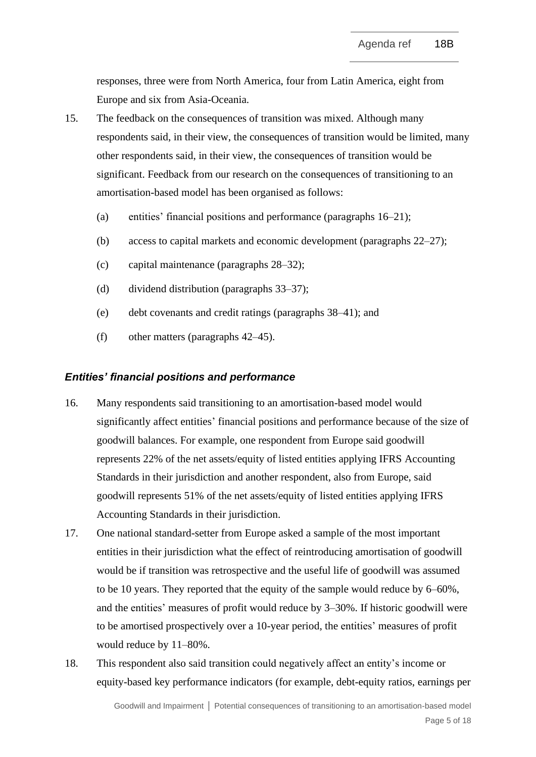responses, three were from North America, four from Latin America, eight from Europe and six from Asia-Oceania.

- 15. The feedback on the consequences of transition was mixed. Although many respondents said, in their view, the consequences of transition would be limited, many other respondents said, in their view, the consequences of transition would be significant. Feedback from our research on the consequences of transitioning to an amortisation-based model has been organised as follows:
	- (a) entities' financial positions and performance (paragraphs 16–21);
	- (b) access to capital markets and economic development (paragraphs 22–27);
	- (c) capital maintenance (paragraphs 28–32);
	- (d) dividend distribution (paragraphs 33–37);
	- (e) debt covenants and credit ratings (paragraphs 38–41); and
	- (f) other matters (paragraphs 42–45).

#### *Entities' financial positions and performance*

- 16. Many respondents said transitioning to an amortisation-based model would significantly affect entities' financial positions and performance because of the size of goodwill balances. For example, one respondent from Europe said goodwill represents 22% of the net assets/equity of listed entities applying IFRS Accounting Standards in their jurisdiction and another respondent, also from Europe, said goodwill represents 51% of the net assets/equity of listed entities applying IFRS Accounting Standards in their jurisdiction.
- 17. One national standard-setter from Europe asked a sample of the most important entities in their jurisdiction what the effect of reintroducing amortisation of goodwill would be if transition was retrospective and the useful life of goodwill was assumed to be 10 years. They reported that the equity of the sample would reduce by 6–60%, and the entities' measures of profit would reduce by 3–30%. If historic goodwill were to be amortised prospectively over a 10-year period, the entities' measures of profit would reduce by 11–80%.
- 18. This respondent also said transition could negatively affect an entity's income or equity-based key performance indicators (for example, debt-equity ratios, earnings per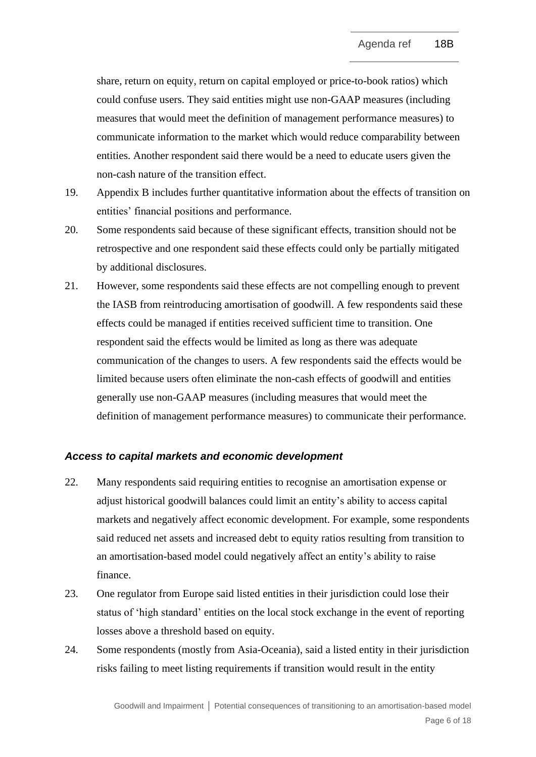share, return on equity, return on capital employed or price-to-book ratios) which could confuse users. They said entities might use non-GAAP measures (including measures that would meet the definition of management performance measures) to communicate information to the market which would reduce comparability between entities. Another respondent said there would be a need to educate users given the non-cash nature of the transition effect.

- 19. Appendix B includes further quantitative information about the effects of transition on entities' financial positions and performance.
- 20. Some respondents said because of these significant effects, transition should not be retrospective and one respondent said these effects could only be partially mitigated by additional disclosures.
- 21. However, some respondents said these effects are not compelling enough to prevent the IASB from reintroducing amortisation of goodwill. A few respondents said these effects could be managed if entities received sufficient time to transition. One respondent said the effects would be limited as long as there was adequate communication of the changes to users. A few respondents said the effects would be limited because users often eliminate the non-cash effects of goodwill and entities generally use non-GAAP measures (including measures that would meet the definition of management performance measures) to communicate their performance.

## *Access to capital markets and economic development*

- 22. Many respondents said requiring entities to recognise an amortisation expense or adjust historical goodwill balances could limit an entity's ability to access capital markets and negatively affect economic development. For example, some respondents said reduced net assets and increased debt to equity ratios resulting from transition to an amortisation-based model could negatively affect an entity's ability to raise finance.
- 23. One regulator from Europe said listed entities in their jurisdiction could lose their status of 'high standard' entities on the local stock exchange in the event of reporting losses above a threshold based on equity.
- 24. Some respondents (mostly from Asia-Oceania), said a listed entity in their jurisdiction risks failing to meet listing requirements if transition would result in the entity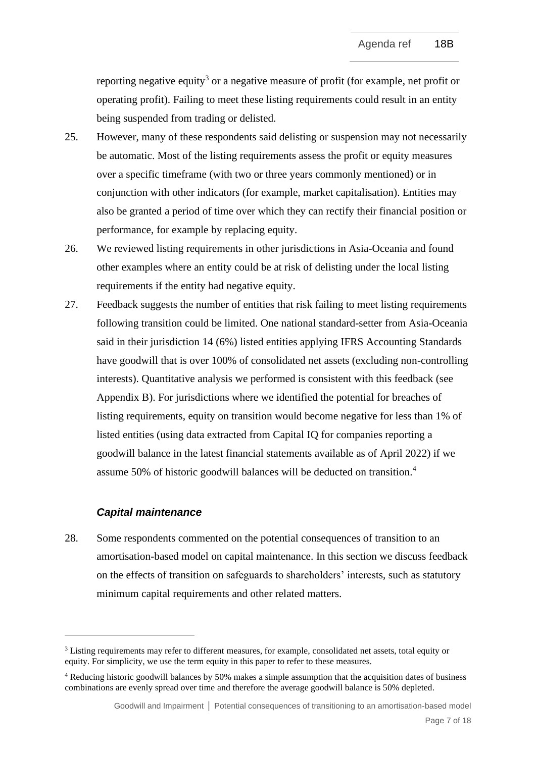reporting negative equity<sup>3</sup> or a negative measure of profit (for example, net profit or operating profit). Failing to meet these listing requirements could result in an entity being suspended from trading or delisted.

- 25. However, many of these respondents said delisting or suspension may not necessarily be automatic. Most of the listing requirements assess the profit or equity measures over a specific timeframe (with two or three years commonly mentioned) or in conjunction with other indicators (for example, market capitalisation). Entities may also be granted a period of time over which they can rectify their financial position or performance, for example by replacing equity.
- 26. We reviewed listing requirements in other jurisdictions in Asia-Oceania and found other examples where an entity could be at risk of delisting under the local listing requirements if the entity had negative equity.
- 27. Feedback suggests the number of entities that risk failing to meet listing requirements following transition could be limited. One national standard-setter from Asia-Oceania said in their jurisdiction 14 (6%) listed entities applying IFRS Accounting Standards have goodwill that is over 100% of consolidated net assets (excluding non-controlling interests). Quantitative analysis we performed is consistent with this feedback (see Appendix B). For jurisdictions where we identified the potential for breaches of listing requirements, equity on transition would become negative for less than 1% of listed entities (using data extracted from Capital IQ for companies reporting a goodwill balance in the latest financial statements available as of April 2022) if we assume 50% of historic goodwill balances will be deducted on transition. 4

## *Capital maintenance*

28. Some respondents commented on the potential consequences of transition to an amortisation-based model on capital maintenance. In this section we discuss feedback on the effects of transition on safeguards to shareholders' interests, such as statutory minimum capital requirements and other related matters.

<sup>&</sup>lt;sup>3</sup> Listing requirements may refer to different measures, for example, consolidated net assets, total equity or equity. For simplicity, we use the term equity in this paper to refer to these measures.

<sup>4</sup> Reducing historic goodwill balances by 50% makes a simple assumption that the acquisition dates of business combinations are evenly spread over time and therefore the average goodwill balance is 50% depleted.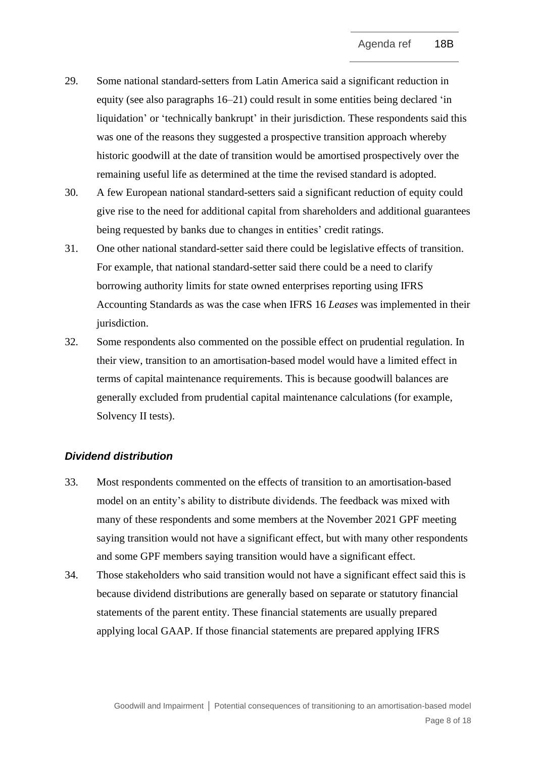- 29. Some national standard-setters from Latin America said a significant reduction in equity (see also paragraphs 16–21) could result in some entities being declared 'in liquidation' or 'technically bankrupt' in their jurisdiction. These respondents said this was one of the reasons they suggested a prospective transition approach whereby historic goodwill at the date of transition would be amortised prospectively over the remaining useful life as determined at the time the revised standard is adopted.
- 30. A few European national standard-setters said a significant reduction of equity could give rise to the need for additional capital from shareholders and additional guarantees being requested by banks due to changes in entities' credit ratings.
- 31. One other national standard-setter said there could be legislative effects of transition. For example, that national standard-setter said there could be a need to clarify borrowing authority limits for state owned enterprises reporting using IFRS Accounting Standards as was the case when IFRS 16 *Leases* was implemented in their jurisdiction.
- 32. Some respondents also commented on the possible effect on prudential regulation. In their view, transition to an amortisation-based model would have a limited effect in terms of capital maintenance requirements. This is because goodwill balances are generally excluded from prudential capital maintenance calculations (for example, Solvency II tests).

## *Dividend distribution*

- 33. Most respondents commented on the effects of transition to an amortisation-based model on an entity's ability to distribute dividends. The feedback was mixed with many of these respondents and some members at the November 2021 GPF meeting saying transition would not have a significant effect, but with many other respondents and some GPF members saying transition would have a significant effect.
- 34. Those stakeholders who said transition would not have a significant effect said this is because dividend distributions are generally based on separate or statutory financial statements of the parent entity. These financial statements are usually prepared applying local GAAP. If those financial statements are prepared applying IFRS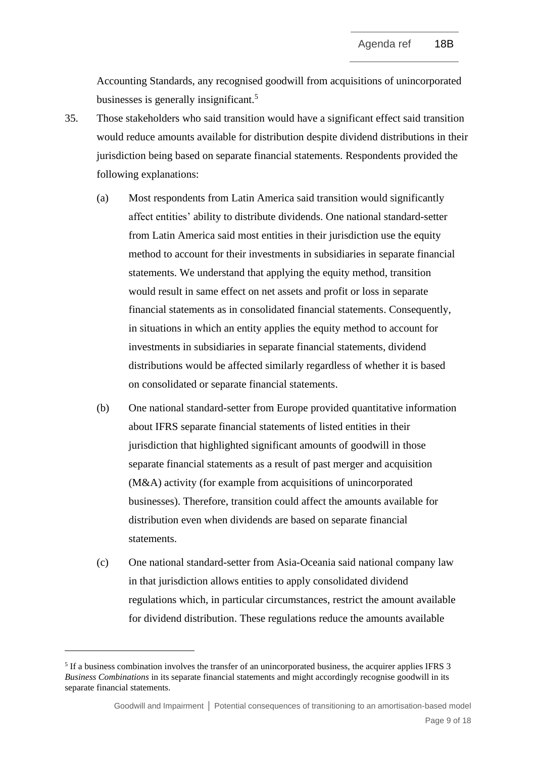Accounting Standards, any recognised goodwill from acquisitions of unincorporated businesses is generally insignificant.<sup>5</sup>

- 35. Those stakeholders who said transition would have a significant effect said transition would reduce amounts available for distribution despite dividend distributions in their jurisdiction being based on separate financial statements. Respondents provided the following explanations:
	- (a) Most respondents from Latin America said transition would significantly affect entities' ability to distribute dividends. One national standard-setter from Latin America said most entities in their jurisdiction use the equity method to account for their investments in subsidiaries in separate financial statements. We understand that applying the equity method, transition would result in same effect on net assets and profit or loss in separate financial statements as in consolidated financial statements. Consequently, in situations in which an entity applies the equity method to account for investments in subsidiaries in separate financial statements, dividend distributions would be affected similarly regardless of whether it is based on consolidated or separate financial statements.
	- (b) One national standard-setter from Europe provided quantitative information about IFRS separate financial statements of listed entities in their jurisdiction that highlighted significant amounts of goodwill in those separate financial statements as a result of past merger and acquisition (M&A) activity (for example from acquisitions of unincorporated businesses). Therefore, transition could affect the amounts available for distribution even when dividends are based on separate financial statements.
	- (c) One national standard-setter from Asia-Oceania said national company law in that jurisdiction allows entities to apply consolidated dividend regulations which, in particular circumstances, restrict the amount available for dividend distribution. These regulations reduce the amounts available

<sup>&</sup>lt;sup>5</sup> If a business combination involves the transfer of an unincorporated business, the acquirer applies IFRS 3 *Business Combinations* in its separate financial statements and might accordingly recognise goodwill in its separate financial statements.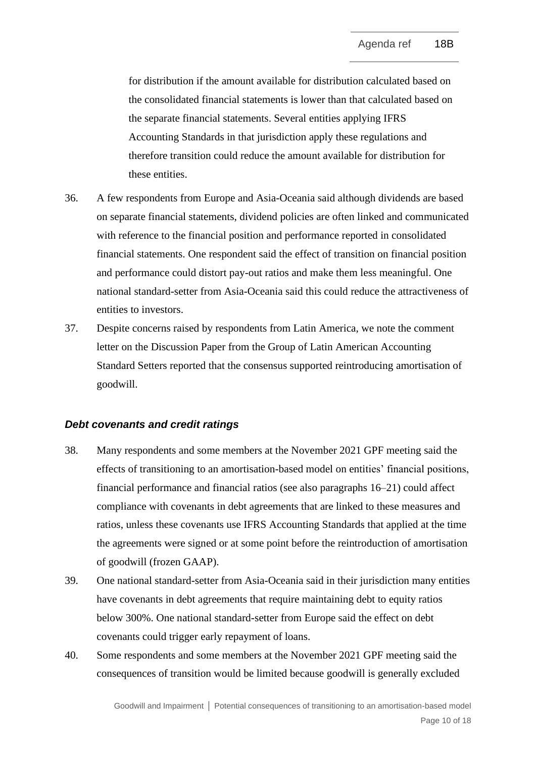for distribution if the amount available for distribution calculated based on the consolidated financial statements is lower than that calculated based on the separate financial statements. Several entities applying IFRS Accounting Standards in that jurisdiction apply these regulations and therefore transition could reduce the amount available for distribution for these entities.

- 36. A few respondents from Europe and Asia-Oceania said although dividends are based on separate financial statements, dividend policies are often linked and communicated with reference to the financial position and performance reported in consolidated financial statements. One respondent said the effect of transition on financial position and performance could distort pay-out ratios and make them less meaningful. One national standard-setter from Asia-Oceania said this could reduce the attractiveness of entities to investors.
- 37. Despite concerns raised by respondents from Latin America, we note the comment letter on the Discussion Paper from the Group of Latin American Accounting Standard Setters reported that the consensus supported reintroducing amortisation of goodwill.

#### *Debt covenants and credit ratings*

- 38. Many respondents and some members at the November 2021 GPF meeting said the effects of transitioning to an amortisation-based model on entities' financial positions, financial performance and financial ratios (see also paragraphs 16–21) could affect compliance with covenants in debt agreements that are linked to these measures and ratios, unless these covenants use IFRS Accounting Standards that applied at the time the agreements were signed or at some point before the reintroduction of amortisation of goodwill (frozen GAAP).
- 39. One national standard-setter from Asia-Oceania said in their jurisdiction many entities have covenants in debt agreements that require maintaining debt to equity ratios below 300%. One national standard-setter from Europe said the effect on debt covenants could trigger early repayment of loans.
- 40. Some respondents and some members at the November 2021 GPF meeting said the consequences of transition would be limited because goodwill is generally excluded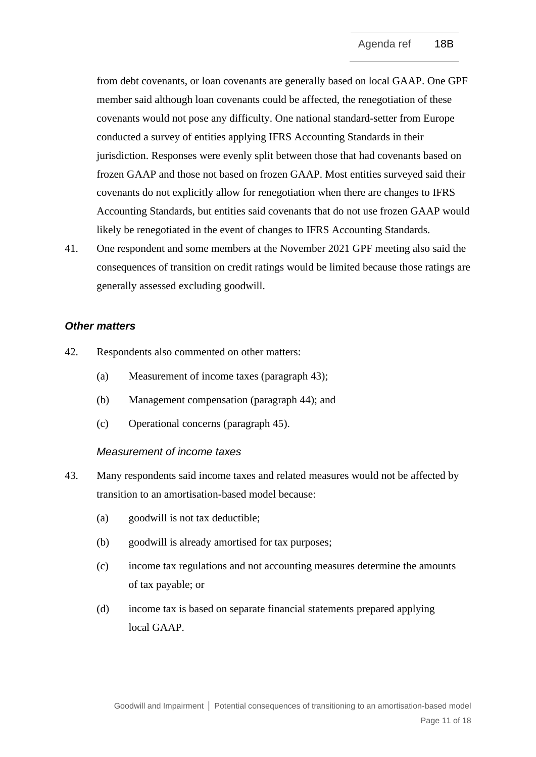from debt covenants, or loan covenants are generally based on local GAAP. One GPF member said although loan covenants could be affected, the renegotiation of these covenants would not pose any difficulty. One national standard-setter from Europe conducted a survey of entities applying IFRS Accounting Standards in their jurisdiction. Responses were evenly split between those that had covenants based on frozen GAAP and those not based on frozen GAAP. Most entities surveyed said their covenants do not explicitly allow for renegotiation when there are changes to IFRS Accounting Standards, but entities said covenants that do not use frozen GAAP would likely be renegotiated in the event of changes to IFRS Accounting Standards.

41. One respondent and some members at the November 2021 GPF meeting also said the consequences of transition on credit ratings would be limited because those ratings are generally assessed excluding goodwill.

#### *Other matters*

- 42. Respondents also commented on other matters:
	- (a) Measurement of income taxes (paragraph 43);
	- (b) Management compensation (paragraph 44); and
	- (c) Operational concerns (paragraph 45).

#### *Measurement of income taxes*

- 43. Many respondents said income taxes and related measures would not be affected by transition to an amortisation-based model because:
	- (a) goodwill is not tax deductible;
	- (b) goodwill is already amortised for tax purposes;
	- (c) income tax regulations and not accounting measures determine the amounts of tax payable; or
	- (d) income tax is based on separate financial statements prepared applying local GAAP.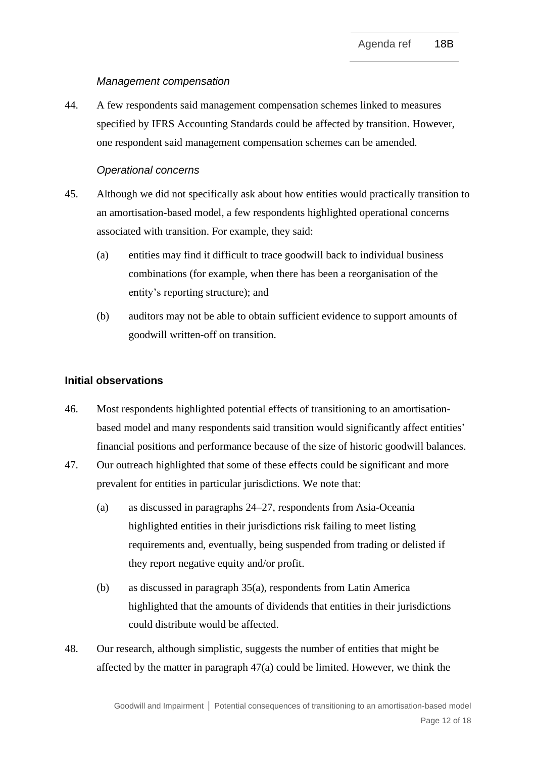## *Management compensation*

44. A few respondents said management compensation schemes linked to measures specified by IFRS Accounting Standards could be affected by transition. However, one respondent said management compensation schemes can be amended.

## *Operational concerns*

- 45. Although we did not specifically ask about how entities would practically transition to an amortisation-based model, a few respondents highlighted operational concerns associated with transition. For example, they said:
	- (a) entities may find it difficult to trace goodwill back to individual business combinations (for example, when there has been a reorganisation of the entity's reporting structure); and
	- (b) auditors may not be able to obtain sufficient evidence to support amounts of goodwill written-off on transition.

## **Initial observations**

- 46. Most respondents highlighted potential effects of transitioning to an amortisationbased model and many respondents said transition would significantly affect entities' financial positions and performance because of the size of historic goodwill balances.
- 47. Our outreach highlighted that some of these effects could be significant and more prevalent for entities in particular jurisdictions. We note that:
	- (a) as discussed in paragraphs 24–27, respondents from Asia-Oceania highlighted entities in their jurisdictions risk failing to meet listing requirements and, eventually, being suspended from trading or delisted if they report negative equity and/or profit.
	- (b) as discussed in paragraph 35(a), respondents from Latin America highlighted that the amounts of dividends that entities in their jurisdictions could distribute would be affected.
- 48. Our research, although simplistic, suggests the number of entities that might be affected by the matter in paragraph 47(a) could be limited. However, we think the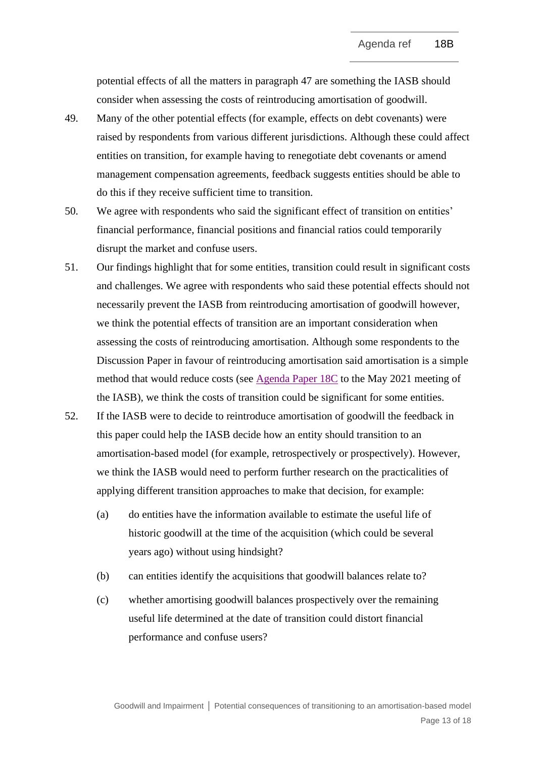potential effects of all the matters in paragraph 47 are something the IASB should consider when assessing the costs of reintroducing amortisation of goodwill.

- 49. Many of the other potential effects (for example, effects on debt covenants) were raised by respondents from various different jurisdictions. Although these could affect entities on transition, for example having to renegotiate debt covenants or amend management compensation agreements, feedback suggests entities should be able to do this if they receive sufficient time to transition.
- 50. We agree with respondents who said the significant effect of transition on entities' financial performance, financial positions and financial ratios could temporarily disrupt the market and confuse users.
- 51. Our findings highlight that for some entities, transition could result in significant costs and challenges. We agree with respondents who said these potential effects should not necessarily prevent the IASB from reintroducing amortisation of goodwill however, we think the potential effects of transition are an important consideration when assessing the costs of reintroducing amortisation. Although some respondents to the Discussion Paper in favour of reintroducing amortisation said amortisation is a simple method that would reduce costs (see [Agenda Paper 18C](https://www.ifrs.org/content/dam/ifrs/meetings/2021/may/iasb/ap18c-subsequent-accounting-for-goodwill.pdf) to the May 2021 meeting of the IASB), we think the costs of transition could be significant for some entities.
- 52. If the IASB were to decide to reintroduce amortisation of goodwill the feedback in this paper could help the IASB decide how an entity should transition to an amortisation-based model (for example, retrospectively or prospectively). However, we think the IASB would need to perform further research on the practicalities of applying different transition approaches to make that decision, for example:
	- (a) do entities have the information available to estimate the useful life of historic goodwill at the time of the acquisition (which could be several years ago) without using hindsight?
	- (b) can entities identify the acquisitions that goodwill balances relate to?
	- (c) whether amortising goodwill balances prospectively over the remaining useful life determined at the date of transition could distort financial performance and confuse users?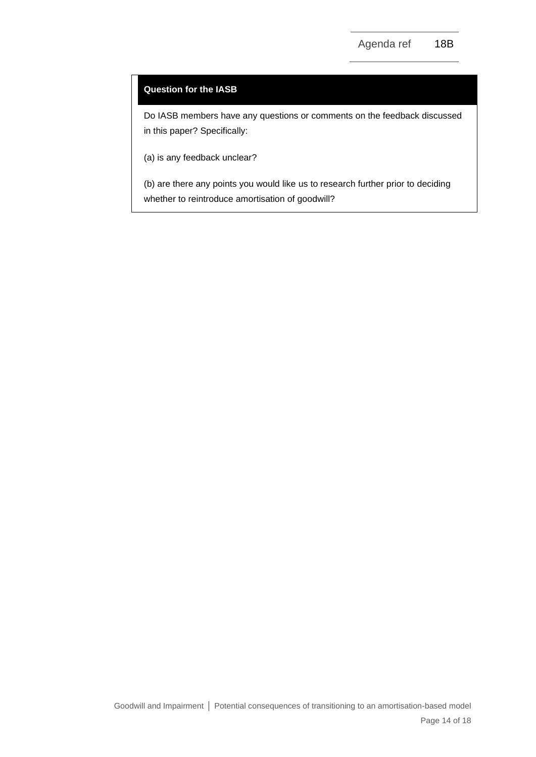### **Question for the IASB**

Do IASB members have any questions or comments on the feedback discussed in this paper? Specifically:

(a) is any feedback unclear?

(b) are there any points you would like us to research further prior to deciding whether to reintroduce amortisation of goodwill?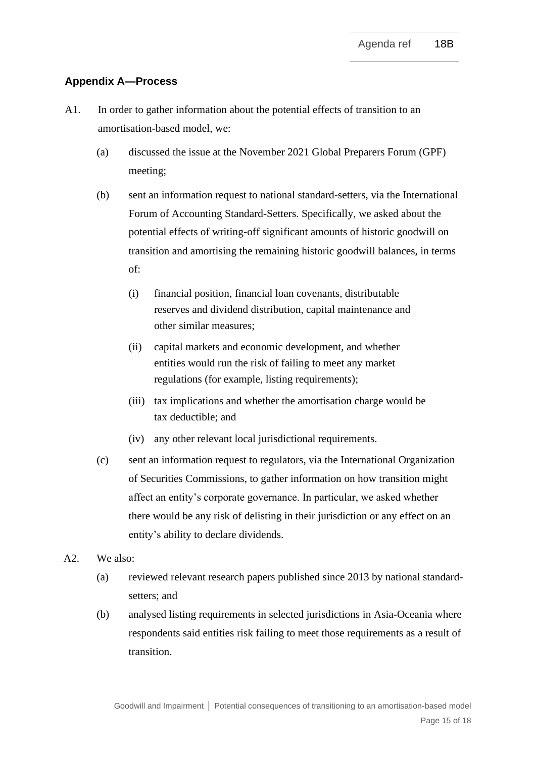# **Appendix A—Process**

- A1. In order to gather information about the potential effects of transition to an amortisation-based model, we:
	- (a) discussed the issue at the November 2021 Global Preparers Forum (GPF) meeting;
	- (b) sent an information request to national standard-setters, via the International Forum of Accounting Standard-Setters. Specifically, we asked about the potential effects of writing-off significant amounts of historic goodwill on transition and amortising the remaining historic goodwill balances, in terms of:
		- (i) financial position, financial loan covenants, distributable reserves and dividend distribution, capital maintenance and other similar measures;
		- (ii) capital markets and economic development, and whether entities would run the risk of failing to meet any market regulations (for example, listing requirements);
		- (iii) tax implications and whether the amortisation charge would be tax deductible; and
		- (iv) any other relevant local jurisdictional requirements.
	- (c) sent an information request to regulators, via the International Organization of Securities Commissions, to gather information on how transition might affect an entity's corporate governance. In particular, we asked whether there would be any risk of delisting in their jurisdiction or any effect on an entity's ability to declare dividends.
- A2. We also:
	- (a) reviewed relevant research papers published since 2013 by national standardsetters; and
	- (b) analysed listing requirements in selected jurisdictions in Asia-Oceania where respondents said entities risk failing to meet those requirements as a result of transition.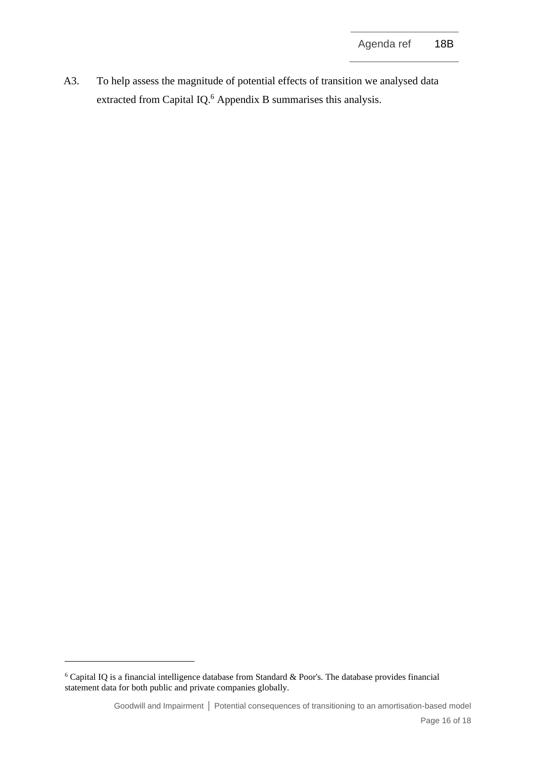A3. To help assess the magnitude of potential effects of transition we analysed data extracted from Capital IQ.<sup>6</sup> Appendix B summarises this analysis.

 $6$  Capital IQ is a financial intelligence database from Standard & Poor's. The database provides financial statement data for both public and private companies globally.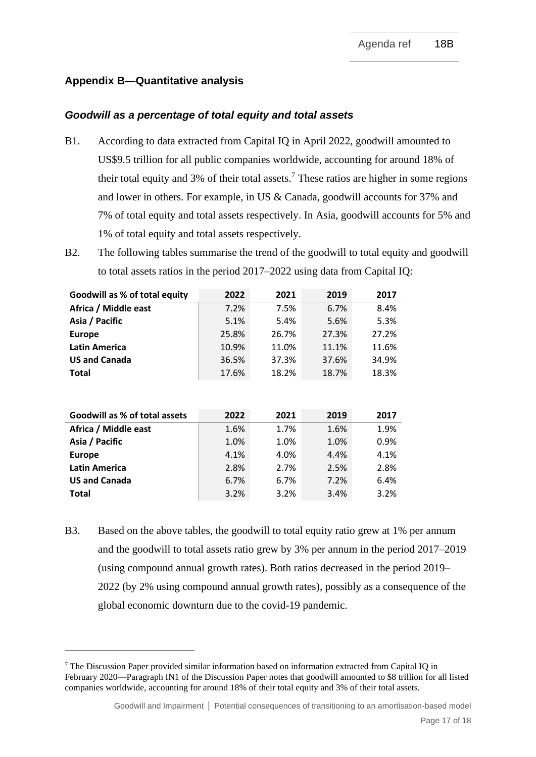# **Appendix B—Quantitative analysis**

## *Goodwill as a percentage of total equity and total assets*

- B1. According to data extracted from Capital IQ in April 2022, goodwill amounted to US\$9.5 trillion for all public companies worldwide, accounting for around 18% of their total equity and 3% of their total assets. <sup>7</sup> These ratios are higher in some regions and lower in others. For example, in US & Canada, goodwill accounts for 37% and 7% of total equity and total assets respectively. In Asia, goodwill accounts for 5% and 1% of total equity and total assets respectively.
- B2. The following tables summarise the trend of the goodwill to total equity and goodwill to total assets ratios in the period 2017–2022 using data from Capital IQ:

| Goodwill as % of total equity | 2022  | 2021  | 2019  | 2017  |
|-------------------------------|-------|-------|-------|-------|
| Africa / Middle east          | 7.2%  | 7.5%  | 6.7%  | 8.4%  |
| Asia / Pacific                | 5.1%  | 5.4%  | 5.6%  | 5.3%  |
| <b>Europe</b>                 | 25.8% | 26.7% | 27.3% | 27.2% |
| <b>Latin America</b>          | 10.9% | 11.0% | 11.1% | 11.6% |
| <b>US and Canada</b>          | 36.5% | 37.3% | 37.6% | 34.9% |
| <b>Total</b>                  | 17.6% | 18.2% | 18.7% | 18.3% |

| Goodwill as % of total assets | 2022 | 2021 | 2019 | 2017 |
|-------------------------------|------|------|------|------|
| Africa / Middle east          | 1.6% | 1.7% | 1.6% | 1.9% |
| Asia / Pacific                | 1.0% | 1.0% | 1.0% | 0.9% |
| <b>Europe</b>                 | 4.1% | 4.0% | 4.4% | 4.1% |
| <b>Latin America</b>          | 2.8% | 2.7% | 2.5% | 2.8% |
| <b>US and Canada</b>          | 6.7% | 6.7% | 7.2% | 6.4% |
| Total                         | 3.2% | 3.2% | 3.4% | 3.2% |

B3. Based on the above tables, the goodwill to total equity ratio grew at 1% per annum and the goodwill to total assets ratio grew by 3% per annum in the period 2017–2019 (using compound annual growth rates). Both ratios decreased in the period 2019– 2022 (by 2% using compound annual growth rates), possibly as a consequence of the global economic downturn due to the covid-19 pandemic.

<sup>7</sup> The Discussion Paper provided similar information based on information extracted from Capital IQ in February 2020—Paragraph IN1 of the Discussion Paper notes that goodwill amounted to \$8 trillion for all listed companies worldwide, accounting for around 18% of their total equity and 3% of their total assets.